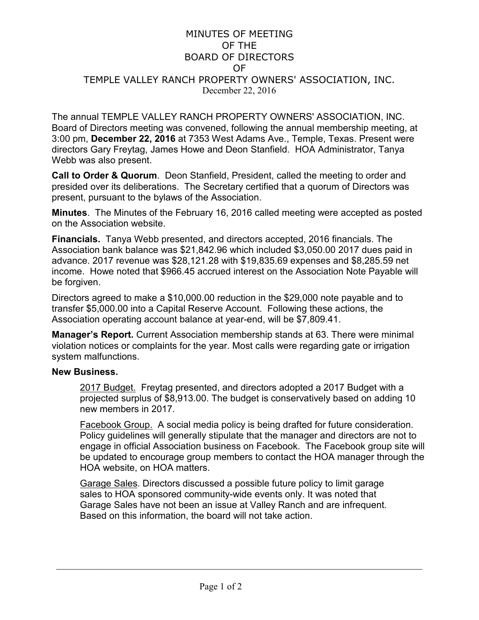## MINUTES OF MEETING OF THE BOARD OF DIRECTORS OF TEMPLE VALLEY RANCH PROPERTY OWNERS' ASSOCIATION, INC. December 22, 2016

The annual TEMPLE VALLEY RANCH PROPERTY OWNERS' ASSOCIATION, INC. Board of Directors meeting was convened, following the annual membership meeting, at 3:00 pm, **December 22, 2016** at 7353 West Adams Ave., Temple, Texas. Present were directors Gary Freytag, James Howe and Deon Stanfield. HOA Administrator, Tanya Webb was also present.

**Call to Order & Quorum**. Deon Stanfield, President, called the meeting to order and presided over its deliberations. The Secretary certified that a quorum of Directors was present, pursuant to the bylaws of the Association.

**Minutes**. The Minutes of the February 16, 2016 called meeting were accepted as posted on the Association website.

**Financials.** Tanya Webb presented, and directors accepted, 2016 financials. The Association bank balance was \$21,842.96 which included \$3,050.00 2017 dues paid in advance. 2017 revenue was \$28,121.28 with \$19,835.69 expenses and \$8,285.59 net income. Howe noted that \$966.45 accrued interest on the Association Note Payable will be forgiven.

Directors agreed to make a \$10,000.00 reduction in the \$29,000 note payable and to transfer \$5,000.00 into a Capital Reserve Account. Following these actions, the Association operating account balance at year-end, will be \$7,809.41.

**Manager's Report.** Current Association membership stands at 63. There were minimal violation notices or complaints for the year. Most calls were regarding gate or irrigation system malfunctions.

## **New Business.**

2017 Budget.Freytag presented, and directors adopted a 2017 Budget with a projected surplus of \$8,913.00. The budget is conservatively based on adding 10 new members in 2017.

Facebook Group. A social media policy is being drafted for future consideration. Policy guidelines will generally stipulate that the manager and directors are not to engage in official Association business on Facebook. The Facebook group site will be updated to encourage group members to contact the HOA manager through the HOA website, on HOA matters.

Garage Sales. Directors discussed a possible future policy to limit garage sales to HOA sponsored community-wide events only. It was noted that Garage Sales have not been an issue at Valley Ranch and are infrequent. Based on this information, the board will not take action.

 $\frac{1}{2}$  ,  $\frac{1}{2}$  ,  $\frac{1}{2}$  ,  $\frac{1}{2}$  ,  $\frac{1}{2}$  ,  $\frac{1}{2}$  ,  $\frac{1}{2}$  ,  $\frac{1}{2}$  ,  $\frac{1}{2}$  ,  $\frac{1}{2}$  ,  $\frac{1}{2}$  ,  $\frac{1}{2}$  ,  $\frac{1}{2}$  ,  $\frac{1}{2}$  ,  $\frac{1}{2}$  ,  $\frac{1}{2}$  ,  $\frac{1}{2}$  ,  $\frac{1}{2}$  ,  $\frac{1$